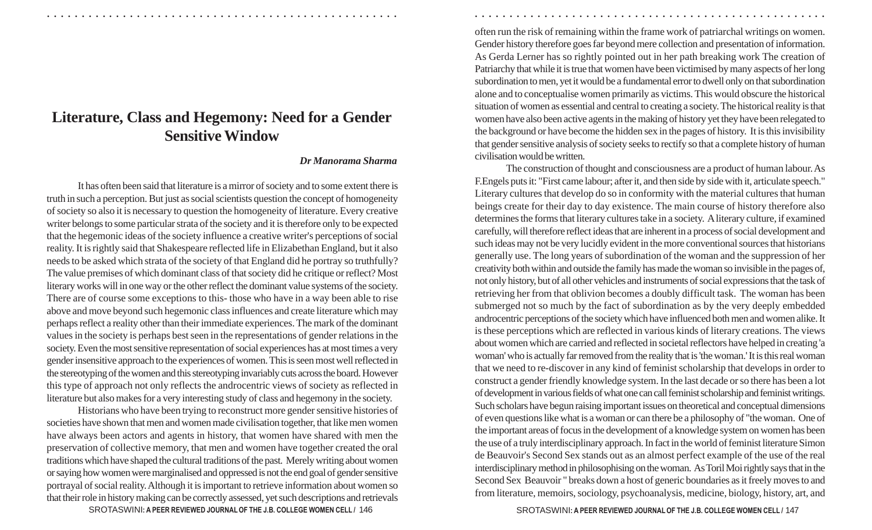## **Literature, Class and Hegemony: Need for a Gender Sensitive Window**

## *Dr Manorama Sharma*

It has often been said that literature is a mirror of society and to some extent there is truth in such a perception. But just as social scientists question the concept of homogeneity of society so also it is necessary to question the homogeneity of literature. Every creative writer belongs to some particular strata of the society and it is therefore only to be expected that the hegemonic ideas of the society influence a creative writer's perceptions of social reality. It is rightly said that Shakespeare reflected life in Elizabethan England, but it also needs to be asked which strata of the society of that England did he portray so truthfully? The value premises of which dominant class of that society did he critique or reflect? Most literary works will in one way or the other reflect the dominant value systems of the society. There are of course some exceptions to this- those who have in a way been able to rise above and move beyond such hegemonic class influences and create literature which may perhaps reflect a reality other than their immediate experiences. The mark of the dominant values in the society is perhaps best seen in the representations of gender relations in the society. Even the most sensitive representation of social experiences has at most times a very gender insensitive approach to the experiences of women. This is seen most well reflected in the stereotyping of the women and this stereotyping invariably cuts across the board. However this type of approach not only reflects the androcentric views of society as reflected in literature but also makes for a very interesting study of class and hegemony in the society.

Historians who have been trying to reconstruct more gender sensitive histories of societies have shown that men and women made civilisation together, that like men women have always been actors and agents in history, that women have shared with men the preservation of collective memory, that men and women have together created the oral traditions which have shaped the cultural traditions of the past. Merely writing about women or saying how women were marginalised and oppressed is not the end goal of gender sensitive portrayal of social reality. Although it is important to retrieve information about women so that their role in history making can be correctly assessed, yet such descriptions and retrievals

often run the risk of remaining within the frame work of patriarchal writings on women. Gender history therefore goes far beyond mere collection and presentation of information. As Gerda Lerner has so rightly pointed out in her path breaking work The creation of Patriarchy that while it is true that women have been victimised by many aspects of her long subordination to men, yet it would be a fundamental error to dwell only on that subordination alone and to conceptualise women primarily as victims. This would obscure the historical situation of women as essential and central to creating a society. The historical reality is that women have also been active agents in the making of history yet they have been relegated to the background or have become the hidden sex in the pages of history. It is this invisibility that gender sensitive analysis of society seeks to rectify so that a complete history of human civilisation would be written.

○ ○ ○ ○ ○ ○ ○ ○ ○ ○ ○ ○ ○ ○ ○ ○ ○ ○ ○ ○ ○ ○ ○ ○ ○ ○ ○ ○ ○ ○ ○ ○ ○ ○ ○ ○ ○ ○ ○ ○ ○ ○ ○ ○ ○ ○ ○ ○ ○ ○ ○ ○ ○ ○ ○ ○ ○ ○ ○ ○ ○ ○ ○ ○ ○ ○ ○ ○ ○ ○ ○ ○ ○ ○ ○ ○ ○ ○ ○ ○ ○ ○ ○ ○ ○ ○ ○ ○ ○ ○ ○ ○ ○ ○ ○ ○ ○ ○ ○ ○ ○ ○

The construction of thought and consciousness are a product of human labour. As F.Engels puts it: "First came labour; after it, and then side by side with it, articulate speech." Literary cultures that develop do so in conformity with the material cultures that human beings create for their day to day existence. The main course of history therefore also determines the forms that literary cultures take in a society. A literary culture, if examined carefully, will therefore reflect ideas that are inherent in a process of social development and such ideas may not be very lucidly evident in the more conventional sources that historians generally use. The long years of subordination of the woman and the suppression of her creativity both within and outside the family has made the woman so invisible in the pages of, not only history, but of all other vehicles and instruments of social expressions that the task of retrieving her from that oblivion becomes a doubly difficult task. The woman has been submerged not so much by the fact of subordination as by the very deeply embedded androcentric perceptions of the society which have influenced both men and women alike. It is these perceptions which are reflected in various kinds of literary creations. The views about women which are carried and reflected in societal reflectors have helped in creating 'a woman' who is actually far removed from the reality that is 'the woman.' It is this real woman that we need to re-discover in any kind of feminist scholarship that develops in order to construct a gender friendly knowledge system. In the last decade or so there has been a lot of development in various fields of what one can call feminist scholarship and feminist writings. Such scholars have begun raising important issues on theoretical and conceptual dimensions of even questions like what is a woman or can there be a philosophy of "the woman. One of the important areas of focus in the development of a knowledge system on women has been the use of a truly interdisciplinary approach. In fact in the world of feminist literature Simon de Beauvoir's Second Sex stands out as an almost perfect example of the use of the real interdisciplinary method in philosophising on the woman. As Toril Moi rightly says that in the Second Sex Beauvoir " breaks down a host of generic boundaries as it freely moves to and from literature, memoirs, sociology, psychoanalysis, medicine, biology, history, art, and

SROTASWINI: A PEER REVIEWED JOURNAL OF THE J.B. COLLEGE WOMEN CELL / 146 **148 147 147 147 147 148 147 147 147 147**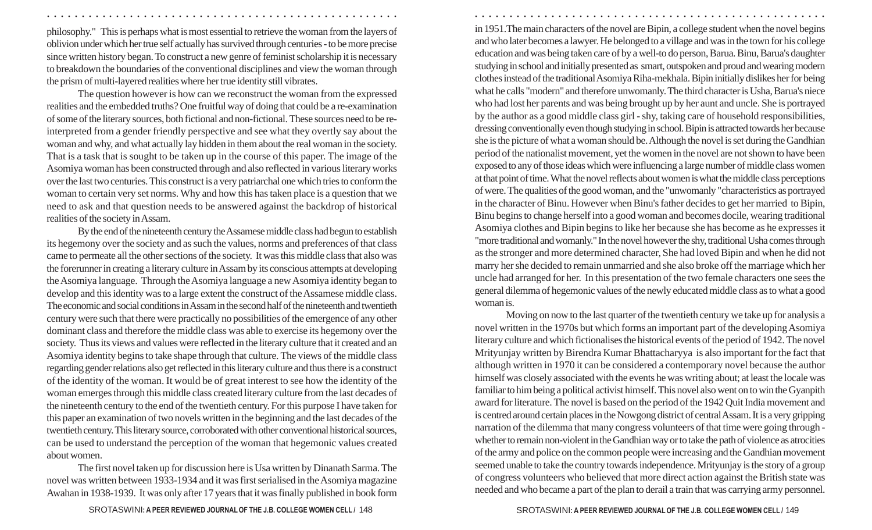philosophy." This is perhaps what is most essential to retrieve the woman from the layers of oblivion under which her true self actually has survived through centuries - to be more precise since written history began. To construct a new genre of feminist scholarship it is necessary to breakdown the boundaries of the conventional disciplines and view the woman through the prism of multi-layered realities where her true identity still vibrates.

The question however is how can we reconstruct the woman from the expressed realities and the embedded truths? One fruitful way of doing that could be a re-examination of some of the literary sources, both fictional and non-fictional. These sources need to be reinterpreted from a gender friendly perspective and see what they overtly say about the woman and why, and what actually lay hidden in them about the real woman in the society. That is a task that is sought to be taken up in the course of this paper. The image of the Asomiya woman has been constructed through and also reflected in various literary works over the last two centuries. This construct is a very patriarchal one which tries to conform the woman to certain very set norms. Why and how this has taken place is a question that we need to ask and that question needs to be answered against the backdrop of historical realities of the society in Assam.

By the end of the nineteenth century the Assamese middle class had begun to establish its hegemony over the society and as such the values, norms and preferences of that class came to permeate all the other sections of the society. It was this middle class that also was the forerunner in creating a literary culture in Assam by its conscious attempts at developing the Asomiya language. Through the Asomiya language a new Asomiya identity began to develop and this identity was to a large extent the construct of the Assamese middle class. The economic and social conditions in Assam in the second half of the nineteenth and twentieth century were such that there were practically no possibilities of the emergence of any other dominant class and therefore the middle class was able to exercise its hegemony over the society. Thus its views and values were reflected in the literary culture that it created and an Asomiya identity begins to take shape through that culture. The views of the middle class regarding gender relations also get reflected in this literary culture and thus there is a construct of the identity of the woman. It would be of great interest to see how the identity of the woman emerges through this middle class created literary culture from the last decades of the nineteenth century to the end of the twentieth century. For this purpose I have taken for this paper an examination of two novels written in the beginning and the last decades of the twentieth century. This literary source, corroborated with other conventional historical sources, can be used to understand the perception of the woman that hegemonic values created about women.

The first novel taken up for discussion here is Usa written by Dinanath Sarma. The novel was written between 1933-1934 and it was first serialised in the Asomiya magazine Awahan in 1938-1939. It was only after 17 years that it was finally published in book form and who later becomes a lawyer. He belonged to a village and was in the town for his college education and was being taken care of by a well-to do person, Barua. Binu, Barua's daughter studying in school and initially presented as smart, outspoken and proud and wearing modern clothes instead of the traditional Asomiya Riha-mekhala. Bipin initially dislikes her for being what he calls "modern" and therefore unwomanly. The third character is Usha, Barua's niece who had lost her parents and was being brought up by her aunt and uncle. She is portrayed by the author as a good middle class girl - shy, taking care of household responsibilities, dressing conventionally even though studying in school. Bipin is attracted towards her because she is the picture of what a woman should be. Although the novel is set during the Gandhian period of the nationalist movement, yet the women in the novel are not shown to have been exposed to any of those ideas which were influencing a large number of middle class women at that point of time. What the novel reflects about women is what the middle class perceptions of were. The qualities of the good woman, and the "unwomanly "characteristics as portrayed in the character of Binu. However when Binu's father decides to get her married to Bipin, Binu begins to change herself into a good woman and becomes docile, wearing traditional Asomiya clothes and Bipin begins to like her because she has become as he expresses it "more traditional and womanly." In the novel however the shy, traditional Usha comes through as the stronger and more determined character, She had loved Bipin and when he did not marry her she decided to remain unmarried and she also broke off the marriage which her uncle had arranged for her. In this presentation of the two female characters one sees the general dilemma of hegemonic values of the newly educated middle class as to what a good woman is.

in 1951.The main characters of the novel are Bipin, a college student when the novel begins

○ ○ ○ ○ ○ ○ ○ ○ ○ ○ ○ ○ ○ ○ ○ ○ ○ ○ ○ ○ ○ ○ ○ ○ ○ ○ ○ ○ ○ ○ ○ ○ ○ ○ ○ ○ ○ ○ ○ ○ ○ ○ ○ ○ ○ ○ ○ ○ ○ ○ ○ ○ ○ ○ ○ ○ ○ ○ ○ ○ ○ ○ ○ ○ ○ ○ ○ ○ ○ ○ ○ ○ ○ ○ ○ ○ ○ ○ ○ ○ ○ ○ ○ ○ ○ ○ ○ ○ ○ ○ ○ ○ ○ ○ ○ ○ ○ ○ ○ ○ ○ ○

Moving on now to the last quarter of the twentieth century we take up for analysis a novel written in the 1970s but which forms an important part of the developing Asomiya literary culture and which fictionalises the historical events of the period of 1942. The novel Mrityunjay written by Birendra Kumar Bhattacharyya is also important for the fact that although written in 1970 it can be considered a contemporary novel because the author himself was closely associated with the events he was writing about; at least the locale was familiar to him being a political activist himself. This novel also went on to win the Gyanpith award for literature. The novel is based on the period of the 1942 Quit India movement and is centred around certain places in the Nowgong district of central Assam. It is a very gripping narration of the dilemma that many congress volunteers of that time were going through whether to remain non-violent in the Gandhian way or to take the path of violence as atrocities of the army and police on the common people were increasing and the Gandhian movement seemed unable to take the country towards independence. Mrityunjay is the story of a group of congress volunteers who believed that more direct action against the British state was needed and who became a part of the plan to derail a train that was carrying army personnel.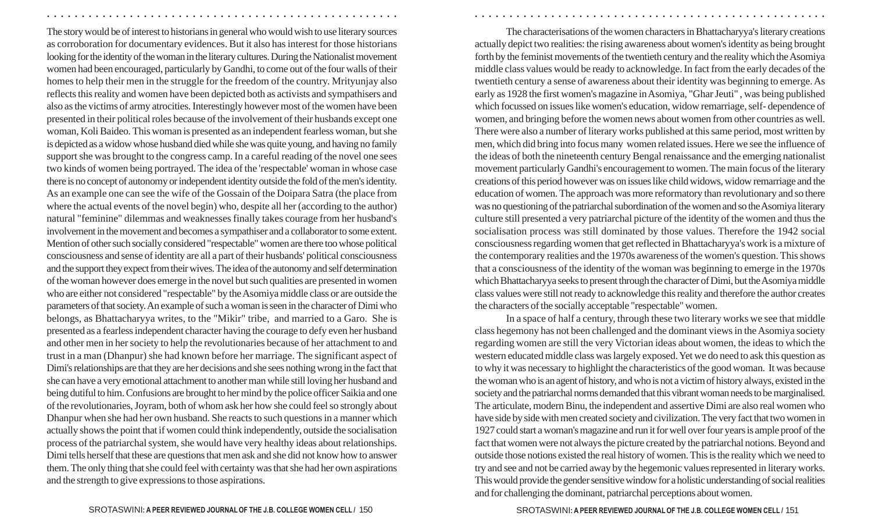The story would be of interest to historians in general who would wish to use literary sources as corroboration for documentary evidences. But it also has interest for those historians looking for the identity of the woman in the literary cultures. During the Nationalist movement women had been encouraged, particularly by Gandhi, to come out of the four walls of their homes to help their men in the struggle for the freedom of the country. Mrityunjay also reflects this reality and women have been depicted both as activists and sympathisers and also as the victims of army atrocities. Interestingly however most of the women have been presented in their political roles because of the involvement of their husbands except one woman, Koli Baideo. This woman is presented as an independent fearless woman, but she is depicted as a widow whose husband died while she was quite young, and having no family support she was brought to the congress camp. In a careful reading of the novel one sees two kinds of women being portrayed. The idea of the 'respectable' woman in whose case there is no concept of autonomy or independent identity outside the fold of the men's identity. As an example one can see the wife of the Gossain of the Doipara Satra (the place from where the actual events of the novel begin) who, despite all her (according to the author) natural "feminine" dilemmas and weaknesses finally takes courage from her husband's involvement in the movement and becomes a sympathiser and a collaborator to some extent. Mention of other such socially considered "respectable" women are there too whose political consciousness and sense of identity are all a part of their husbands' political consciousness and the support they expect from their wives. The idea of the autonomy and self determination of the woman however does emerge in the novel but such qualities are presented in women who are either not considered "respectable" by the Asomiya middle class or are outside the parameters of that society. An example of such a woman is seen in the character of Dimi who belongs, as Bhattacharyya writes, to the "Mikir" tribe, and married to a Garo. She is presented as a fearless independent character having the courage to defy even her husband and other men in her society to help the revolutionaries because of her attachment to and trust in a man (Dhanpur) she had known before her marriage. The significant aspect of Dimi's relationships are that they are her decisions and she sees nothing wrong in the fact that she can have a very emotional attachment to another man while still loving her husband and being dutiful to him. Confusions are brought to her mind by the police officer Saikia and one of the revolutionaries, Joyram, both of whom ask her how she could feel so strongly about Dhanpur when she had her own husband. She reacts to such questions in a manner which actually shows the point that if women could think independently, outside the socialisation process of the patriarchal system, she would have very healthy ideas about relationships. Dimi tells herself that these are questions that men ask and she did not know how to answer them. The only thing that she could feel with certainty was that she had her own aspirations and the strength to give expressions to those aspirations.

The characterisations of the women characters in Bhattacharyya's literary creations actually depict two realities: the rising awareness about women's identity as being brought forth by the feminist movements of the twentieth century and the reality which the Asomiya middle class values would be ready to acknowledge. In fact from the early decades of the twentieth century a sense of awareness about their identity was beginning to emerge. As early as 1928 the first women's magazine in Asomiya, "Ghar Jeuti" , was being published which focussed on issues like women's education, widow remarriage, self- dependence of women, and bringing before the women news about women from other countries as well. There were also a number of literary works published at this same period, most written by men, which did bring into focus many women related issues. Here we see the influence of the ideas of both the nineteenth century Bengal renaissance and the emerging nationalist movement particularly Gandhi's encouragement to women. The main focus of the literary creations of this period however was on issues like child widows, widow remarriage and the education of women. The approach was more reformatory than revolutionary and so there was no questioning of the patriarchal subordination of the women and so the Asomiya literary culture still presented a very patriarchal picture of the identity of the women and thus the socialisation process was still dominated by those values. Therefore the 1942 social consciousness regarding women that get reflected in Bhattacharyya's work is a mixture of the contemporary realities and the 1970s awareness of the women's question. This shows that a consciousness of the identity of the woman was beginning to emerge in the 1970s which Bhattacharyya seeks to present through the character of Dimi, but the Asomiya middle class values were still not ready to acknowledge this reality and therefore the author creates the characters of the socially acceptable "respectable" women.

○ ○ ○ ○ ○ ○ ○ ○ ○ ○ ○ ○ ○ ○ ○ ○ ○ ○ ○ ○ ○ ○ ○ ○ ○ ○ ○ ○ ○ ○ ○ ○ ○ ○ ○ ○ ○ ○ ○ ○ ○ ○ ○ ○ ○ ○ ○ ○ ○ ○ ○ ○ ○ ○ ○ ○ ○ ○ ○ ○ ○ ○ ○ ○ ○ ○ ○ ○ ○ ○ ○ ○ ○ ○ ○ ○ ○ ○ ○ ○ ○ ○ ○ ○ ○ ○ ○ ○ ○ ○ ○ ○ ○ ○ ○ ○ ○ ○ ○ ○ ○ ○

In a space of half a century, through these two literary works we see that middle class hegemony has not been challenged and the dominant views in the Asomiya society regarding women are still the very Victorian ideas about women, the ideas to which the western educated middle class was largely exposed. Yet we do need to ask this question as to why it was necessary to highlight the characteristics of the good woman. It was because the woman who is an agent of history, and who is not a victim of history always, existed in the society and the patriarchal norms demanded that this vibrant woman needs to be marginalised. The articulate, modern Binu, the independent and assertive Dimi are also real women who have side by side with men created society and civilization. The very fact that two women in 1927 could start a woman's magazine and run it for well over four years is ample proof of the fact that women were not always the picture created by the patriarchal notions. Beyond and outside those notions existed the real history of women. This is the reality which we need to try and see and not be carried away by the hegemonic values represented in literary works. This would provide the gender sensitive window for a holistic understanding of social realities and for challenging the dominant, patriarchal perceptions about women.